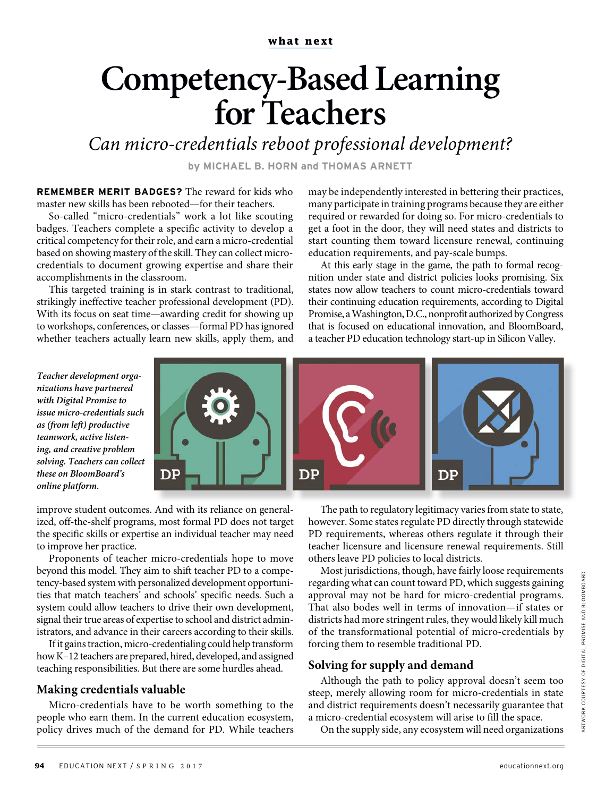#### **what next**

# **Competency-Based Learning for Teachers**

Can micro-credentials reboot professional development?

**by MICHAEL B. HORN and THOMAS ARNETT**

**REMEMBER MERIT BADGES?** The reward for kids who master new skills has been rebooted—for their teachers.

So-called "micro-credentials" work a lot like scouting badges. Teachers complete a specific activity to develop a critical competency for their role, and earn a micro-credential based on showing mastery of the skill. They can collect microcredentials to document growing expertise and share their accomplishments in the classroom.

This targeted training is in stark contrast to traditional, strikingly ineffective teacher professional development (PD). With its focus on seat time—awarding credit for showing up to workshops, conferences, or classes—formal PD has ignored whether teachers actually learn new skills, apply them, and may be independently interested in bettering their practices, many participate in training programs because they are either required or rewarded for doing so. For micro-credentials to get a foot in the door, they will need states and districts to start counting them toward licensure renewal, continuing education requirements, and pay-scale bumps.

At this early stage in the game, the path to formal recognition under state and district policies looks promising. Six states now allow teachers to count micro-credentials toward their continuing education requirements, according to Digital Promise, a Washington, D.C., nonprofit authorized by Congress that is focused on educational innovation, and BloomBoard, a teacher PD education technology start-up in Silicon Valley.

**Teacher development organizations have partnered with Digital Promise to issue micro-credentials such as (from lef) productive teamwork, active listening, and creative problem solving. Teachers can collect these on BloomBoard's online platform.**



improve student outcomes. And with its reliance on generalized, off-the-shelf programs, most formal PD does not target the specific skills or expertise an individual teacher may need to improve her practice.

Proponents of teacher micro-credentials hope to move beyond this model. They aim to shift teacher PD to a competency-based system with personalized development opportunities that match teachers' and schools' specific needs. Such a system could allow teachers to drive their own development, signal their true areas of expertise to school and district administrators, and advance in their careers according to their skills.

If it gains traction, micro-credentialing could help transform how K–12 teachers are prepared, hired, developed, and assigned teaching responsibilities. But there are some hurdles ahead.

# **Making credentials valuable**

Micro-credentials have to be worth something to the people who earn them. In the current education ecosystem, policy drives much of the demand for PD. While teachers

The path to regulatory legitimacy varies from state to state, however. Some states regulate PD directly through statewide PD requirements, whereas others regulate it through their teacher licensure and licensure renewal requirements. Still others leave PD policies to local districts.

Most jurisdictions, though, have fairly loose requirements regarding what can count toward PD, which suggests gaining approval may not be hard for micro-credential programs. That also bodes well in terms of innovation—if states or districts had more stringent rules, they would likely kill much of the transformational potential of micro-credentials by forcing them to resemble traditional PD.

## **Solving for supply and demand**

Although the path to policy approval doesn't seem too steep, merely allowing room for micro-credentials in state and district requirements doesn't necessarily guarantee that a micro-credential ecosystem will arise to fill the space.

On the supply side, any ecosystem will need organizations